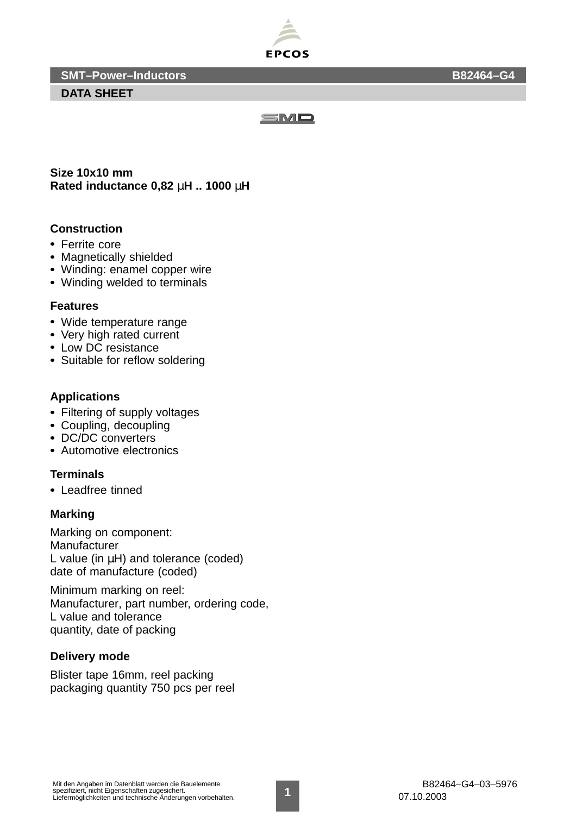

**SMT–Power–Inductors B82464–G4**

**DATA SHEET**



**Size 10x10 mm Rated inductance 0,82** µ**H .. 1000** µ**H**

## **Construction**

- Ferrite core
- Magnetically shielded
- Winding: enamel copper wire
- Winding welded to terminals

#### **Features**

- Wide temperature range
- Very high rated current
- Low DC resistance
- Suitable for reflow soldering

### **Applications**

- Filtering of supply voltages
- Coupling, decoupling
- DC/DC converters
- Automotive electronics

### **Terminals**

Leadfree tinned

### **Marking**

Marking on component: Manufacturer L value (in µH) and tolerance (coded) date of manufacture (coded)

Minimum marking on reel: Manufacturer, part number, ordering code, L value and tolerance quantity, date of packing

## **Delivery mode**

Blister tape 16mm, reel packing packaging quantity 750 pcs per reel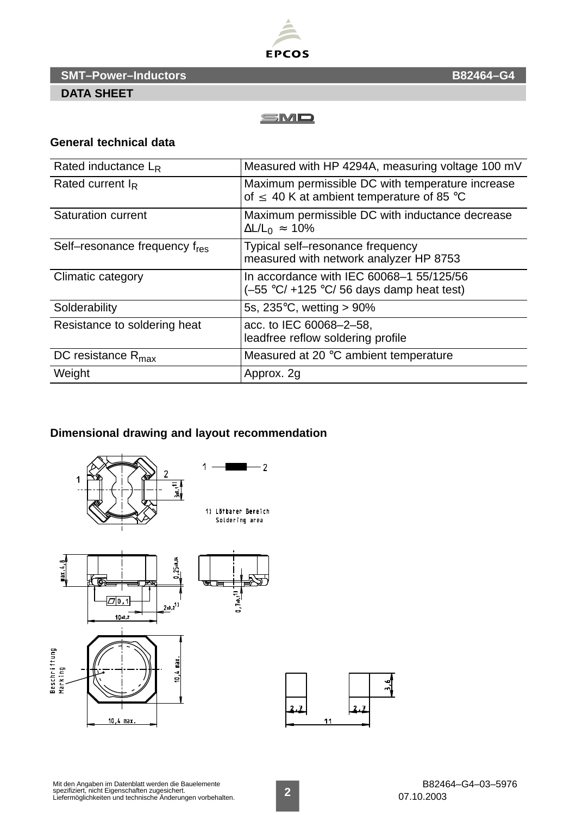

**SMT–Power–Inductors B82464–G4**

## **DATA SHEET**



### **General technical data**

| Rated inductance $L_R$         | Measured with HP 4294A, measuring voltage 100 mV                                                      |
|--------------------------------|-------------------------------------------------------------------------------------------------------|
| Rated current $I_R$            | Maximum permissible DC with temperature increase<br>of $\leq$ 40 K at ambient temperature of 85 °C    |
| <b>Saturation current</b>      | Maximum permissible DC with inductance decrease<br>$\Delta L/L_0 \approx 10\%$                        |
| Self-resonance frequency fres  | Typical self-resonance frequency<br>measured with network analyzer HP 8753                            |
| Climatic category              | In accordance with IEC 60068-1 55/125/56<br>$(-55 \text{ °C}/+125 \text{ °C}/56$ days damp heat test) |
| Solderability                  | 5s, $235^{\circ}$ C, wetting > 90%                                                                    |
| Resistance to soldering heat   | acc. to IEC 60068-2-58,<br>leadfree reflow soldering profile                                          |
| DC resistance $R_{\text{max}}$ | Measured at 20 °C ambient temperature                                                                 |
| Weight                         | Approx. 2g                                                                                            |

# **Dimensional drawing and layout recommendation**



Mit den Angaben im Datenblatt werden die Bauelemente spezifiziert, nicht Eigenschaften zugesichert. Liefermöglichkeiten und technische Änderungen vorbehalten. **2**

 $\frac{1}{2}$